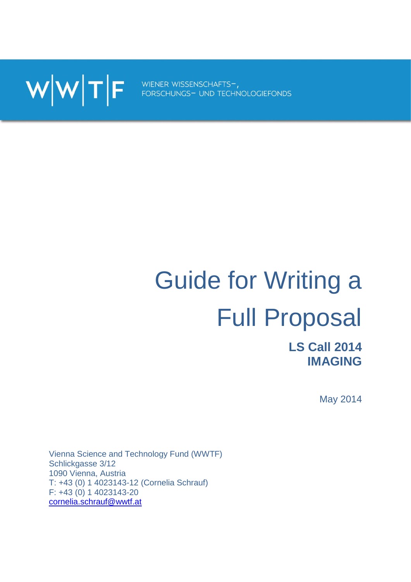WWTF FORSCHUNGS- UND TECHNOLOGIEFONDS

# Guide for Writing a Full Proposal

**LS Call 2014 IMAGING**

May 2014

Vienna Science and Technology Fund (WWTF) Schlickgasse 3/12 1090 Vienna, Austria T: +43 (0) 1 4023143-12 (Cornelia Schrauf) F: +43 (0) 1 4023143-20 [cornelia.schrauf@wwtf.at](mailto:cornelia.schrauf@wwtf.at)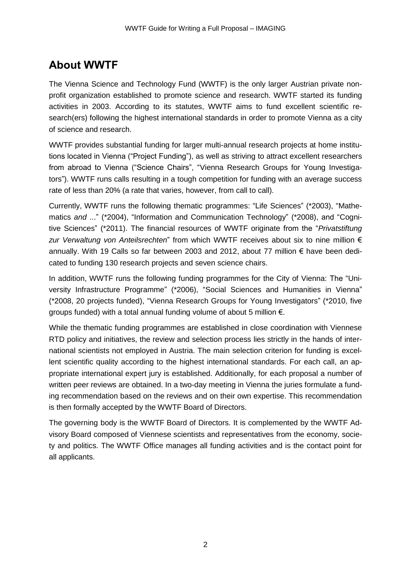# **About WWTF**

The Vienna Science and Technology Fund (WWTF) is the only larger Austrian private nonprofit organization established to promote science and research. WWTF started its funding activities in 2003. According to its statutes, WWTF aims to fund excellent scientific research(ers) following the highest international standards in order to promote Vienna as a city of science and research.

WWTF provides substantial funding for larger multi-annual research projects at home institutions located in Vienna ("Project Funding"), as well as striving to attract excellent researchers from abroad to Vienna ("Science Chairs", "Vienna Research Groups for Young Investigators"). WWTF runs calls resulting in a tough competition for funding with an average success rate of less than 20% (a rate that varies, however, from call to call).

Currently, WWTF runs the following thematic programmes: "Life Sciences" (\*2003), "Mathematics *and* ..." (\*2004), "Information and Communication Technology" (\*2008), and "Cognitive Sciences" (\*2011). The financial resources of WWTF originate from the "*Privatstiftung zur Verwaltung von Anteilsrechten*" from which WWTF receives about six to nine million € annually. With 19 Calls so far between 2003 and 2012, about 77 million € have been dedicated to funding 130 research projects and seven science chairs.

In addition, WWTF runs the following funding programmes for the City of Vienna: The "University Infrastructure Programme" (\*2006), "Social Sciences and Humanities in Vienna" (\*2008, 20 projects funded), "Vienna Research Groups for Young Investigators" (\*2010, five groups funded) with a total annual funding volume of about 5 million  $\epsilon$ .

While the thematic funding programmes are established in close coordination with Viennese RTD policy and initiatives, the review and selection process lies strictly in the hands of international scientists not employed in Austria. The main selection criterion for funding is excellent scientific quality according to the highest international standards. For each call, an appropriate international expert jury is established. Additionally, for each proposal a number of written peer reviews are obtained. In a two-day meeting in Vienna the juries formulate a funding recommendation based on the reviews and on their own expertise. This recommendation is then formally accepted by the WWTF Board of Directors.

The governing body is the WWTF Board of Directors. It is complemented by the WWTF Advisory Board composed of Viennese scientists and representatives from the economy, society and politics. The WWTF Office manages all funding activities and is the contact point for all applicants.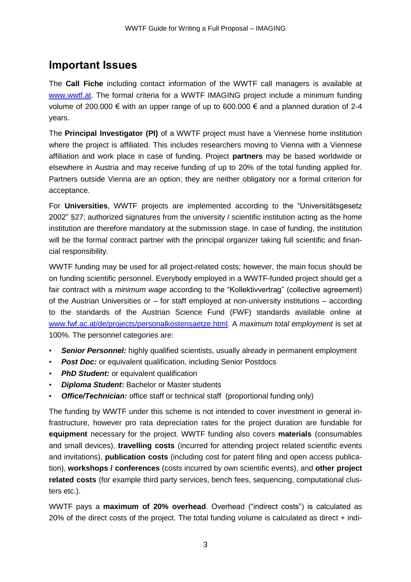## **Important Issues**

The **Call Fiche** including contact information of the WWTF call managers is available at [www.wwtf.at.](http://www.wwtf.at/) The formal criteria for a WWTF IMAGING project include a minimum funding volume of 200.000 € with an upper range of up to 600.000 € and a planned duration of 2-4 years.

The **Principal Investigator (PI)** of a WWTF project must have a Viennese home institution where the project is affiliated. This includes researchers moving to Vienna with a Viennese affiliation and work place in case of funding. Project **partners** may be based worldwide or elsewhere in Austria and may receive funding of up to 20% of the total funding applied for. Partners outside Vienna are an option; they are neither obligatory nor a formal criterion for acceptance.

For **Universities**, WWTF projects are implemented according to the "Universitätsgesetz 2002" §27; authorized signatures from the university / scientific institution acting as the home institution are therefore mandatory at the submission stage. In case of funding, the institution will be the formal contract partner with the principal organizer taking full scientific and financial responsibility.

WWTF funding may be used for all project-related costs; however, the main focus should be on funding scientific personnel. Everybody employed in a WWTF-funded project should get a fair contract with a *minimum wage* according to the "Kollektivvertrag" (collective agreement) of the Austrian Universities or – for staff employed at non-university institutions – according to the standards of the Austrian Science Fund (FWF) standards available online at [www.fwf.ac.at/de/projects/personalkostensaetze.html.](file://vondoderer/wwtf_daten/Projektcalls/Life%20Sciences%202013/Bewerbung/www.fwf.ac.at/de/projects/personalkostensaetze.html) A *maximum total employment* is set at 100%. The personnel categories are:

- **Senior Personnel:** highly qualified scientists, usually already in permanent employment
- *Post Doc:* or equivalent qualification, including Senior Postdocs
- *PhD Student:* or equivalent qualification
- *Diploma Student:* Bachelor or Master students
- **Office/Technician:** office staff or technical staff (proportional funding only)

The funding by WWTF under this scheme is not intended to cover investment in general infrastructure, however pro rata depreciation rates for the project duration are fundable for **equipment** necessary for the project. WWTF funding also covers **materials** (consumables and small devices), **travelling costs** (incurred for attending project related scientific events and invitations), **publication costs** (including cost for patent filing and open access publication), **workshops / conferences** (costs incurred by own scientific events), and **other project related costs** (for example third party services, bench fees, sequencing, computational clusters etc.).

WWTF pays a **maximum of 20% overhead**. Overhead ("indirect costs") is calculated as 20% of the direct costs of the project. The total funding volume is calculated as direct + indi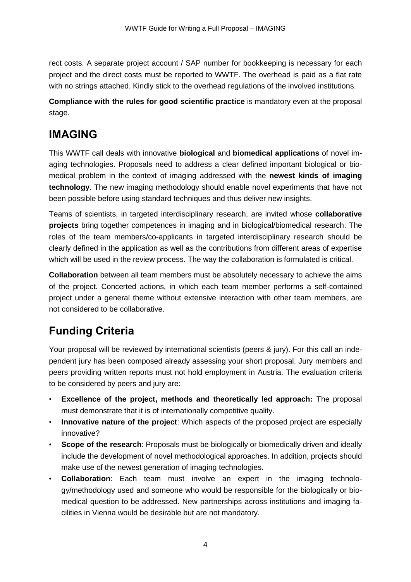rect costs. A separate project account / SAP number for bookkeeping is necessary for each project and the direct costs must be reported to WWTF. The overhead is paid as a flat rate with no strings attached. Kindly stick to the overhead regulations of the involved institutions.

**Compliance with the rules for good scientific practice** is mandatory even at the proposal stage.

# **IMAGING**

This WWTF call deals with innovative **biological** and **biomedical applications** of novel imaging technologies. Proposals need to address a clear defined important biological or biomedical problem in the context of imaging addressed with the **newest kinds of imaging technology**. The new imaging methodology should enable novel experiments that have not been possible before using standard techniques and thus deliver new insights.

Teams of scientists, in targeted interdisciplinary research, are invited whose **collaborative projects** bring together competences in imaging and in biological/biomedical research. The roles of the team members/co-applicants in targeted interdisciplinary research should be clearly defined in the application as well as the contributions from different areas of expertise which will be used in the review process. The way the collaboration is formulated is critical.

**Collaboration** between all team members must be absolutely necessary to achieve the aims of the project. Concerted actions, in which each team member performs a self-contained project under a general theme without extensive interaction with other team members, are not considered to be collaborative.

# **Funding Criteria**

Your proposal will be reviewed by international scientists (peers & jury). For this call an independent jury has been composed already assessing your short proposal. Jury members and peers providing written reports must not hold employment in Austria. The evaluation criteria to be considered by peers and jury are:

- **Excellence of the project, methods and theoretically led approach:** The proposal must demonstrate that it is of internationally competitive quality.
- **Innovative nature of the project**: Which aspects of the proposed project are especially innovative?
- **Scope of the research**: Proposals must be biologically or biomedically driven and ideally include the development of novel methodological approaches. In addition, projects should make use of the newest generation of imaging technologies.
- **Collaboration**: Each team must involve an expert in the imaging technology/methodology used and someone who would be responsible for the biologically or biomedical question to be addressed. New partnerships across institutions and imaging facilities in Vienna would be desirable but are not mandatory.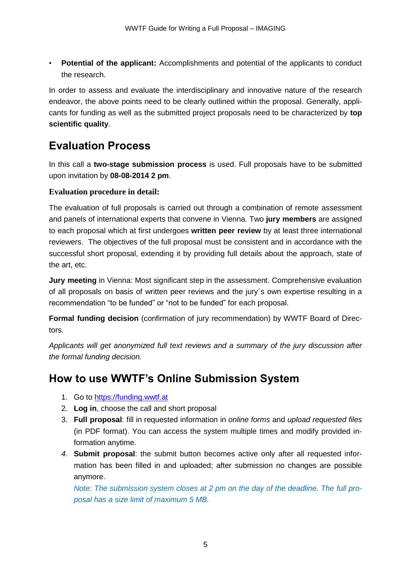• **Potential of the applicant:** Accomplishments and potential of the applicants to conduct the research.

In order to assess and evaluate the interdisciplinary and innovative nature of the research endeavor, the above points need to be clearly outlined within the proposal. Generally, applicants for funding as well as the submitted project proposals need to be characterized by **top scientific quality**.

# **Evaluation Process**

In this call a **two-stage submission process** is used. Full proposals have to be submitted upon invitation by **08-08-2014 2 pm**.

## **Evaluation procedure in detail:**

The evaluation of full proposals is carried out through a combination of remote assessment and panels of international experts that convene in Vienna. Two **jury members** are assigned to each proposal which at first undergoes **written peer review** by at least three international reviewers. The objectives of the full proposal must be consistent and in accordance with the successful short proposal, extending it by providing full details about the approach, state of the art, etc.

**Jury meeting** in Vienna: Most significant step in the assessment. Comprehensive evaluation of all proposals on basis of written peer reviews and the jury´s own expertise resulting in a recommendation "to be funded" or "not to be funded" for each proposal.

**Formal funding decision** (confirmation of jury recommendation) by WWTF Board of Directors.

*Applicants will get anonymized full text reviews and a summary of the jury discussion after the formal funding decision.*

# **How to use WWTF's Online Submission System**

- 1. Go to [https://funding.wwtf.at](https://funding.wwtf.at/)
- 2. **Log in**, choose the call and short proposal
- 3. **Full proposal**: fill in requested information in *online forms* and *upload requested files* (in PDF format). You can access the system multiple times and modify provided information anytime.
- *4.* **Submit proposal**: the submit button becomes active only after all requested information has been filled in and uploaded; after submission no changes are possible anymore.

*Note: The submission system closes at 2 pm on the day of the deadline. The full proposal has a size limit of maximum 5 MB.*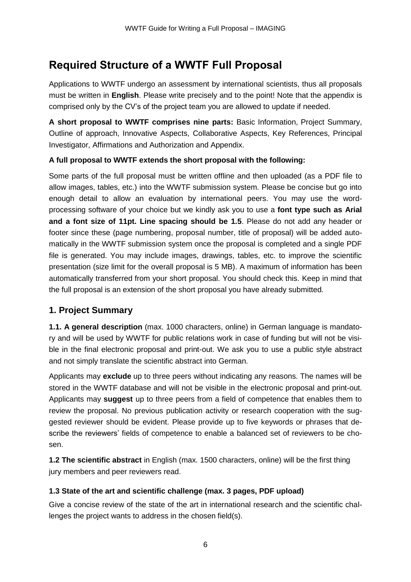# **Required Structure of a WWTF Full Proposal**

Applications to WWTF undergo an assessment by international scientists, thus all proposals must be written in **English**. Please write precisely and to the point! Note that the appendix is comprised only by the CV's of the project team you are allowed to update if needed.

**A short proposal to WWTF comprises nine parts:** Basic Information, Project Summary, Outline of approach, Innovative Aspects, Collaborative Aspects, Key References, Principal Investigator, Affirmations and Authorization and Appendix.

## **A full proposal to WWTF extends the short proposal with the following:**

Some parts of the full proposal must be written offline and then uploaded (as a PDF file to allow images, tables, etc.) into the WWTF submission system. Please be concise but go into enough detail to allow an evaluation by international peers. You may use the wordprocessing software of your choice but we kindly ask you to use a **font type such as Arial and a font size of 11pt. Line spacing should be 1.5**. Please do not add any header or footer since these (page numbering, proposal number, title of proposal) will be added automatically in the WWTF submission system once the proposal is completed and a single PDF file is generated. You may include images, drawings, tables, etc. to improve the scientific presentation (size limit for the overall proposal is 5 MB). A maximum of information has been automatically transferred from your short proposal. You should check this. Keep in mind that the full proposal is an extension of the short proposal you have already submitted.

## **1. Project Summary**

**1.1. A general description** (max. 1000 characters, online) in German language is mandatory and will be used by WWTF for public relations work in case of funding but will not be visible in the final electronic proposal and print-out. We ask you to use a public style abstract and not simply translate the scientific abstract into German.

Applicants may **exclude** up to three peers without indicating any reasons. The names will be stored in the WWTF database and will not be visible in the electronic proposal and print-out. Applicants may **suggest** up to three peers from a field of competence that enables them to review the proposal. No previous publication activity or research cooperation with the suggested reviewer should be evident. Please provide up to five keywords or phrases that describe the reviewers' fields of competence to enable a balanced set of reviewers to be chosen.

**1.2 The scientific abstract** in English (max. 1500 characters, online) will be the first thing jury members and peer reviewers read.

## **1.3 State of the art and scientific challenge (max. 3 pages, PDF upload)**

Give a concise review of the state of the art in international research and the scientific challenges the project wants to address in the chosen field(s).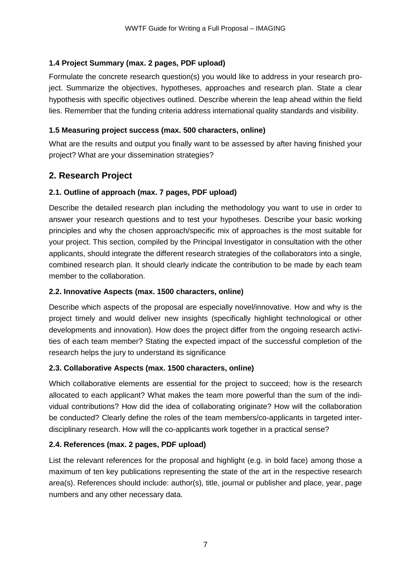#### **1.4 Project Summary (max. 2 pages, PDF upload)**

Formulate the concrete research question(s) you would like to address in your research project. Summarize the objectives, hypotheses, approaches and research plan. State a clear hypothesis with specific objectives outlined. Describe wherein the leap ahead within the field lies. Remember that the funding criteria address international quality standards and visibility.

#### **1.5 Measuring project success (max. 500 characters, online)**

What are the results and output you finally want to be assessed by after having finished your project? What are your dissemination strategies?

## **2. Research Project**

#### **2.1. Outline of approach (max. 7 pages, PDF upload)**

Describe the detailed research plan including the methodology you want to use in order to answer your research questions and to test your hypotheses. Describe your basic working principles and why the chosen approach/specific mix of approaches is the most suitable for your project. This section, compiled by the Principal Investigator in consultation with the other applicants, should integrate the different research strategies of the collaborators into a single, combined research plan. It should clearly indicate the contribution to be made by each team member to the collaboration.

#### **2.2. Innovative Aspects (max. 1500 characters, online)**

Describe which aspects of the proposal are especially novel/innovative. How and why is the project timely and would deliver new insights (specifically highlight technological or other developments and innovation). How does the project differ from the ongoing research activities of each team member? Stating the expected impact of the successful completion of the research helps the jury to understand its significance

#### **2.3. Collaborative Aspects (max. 1500 characters, online)**

Which collaborative elements are essential for the project to succeed; how is the research allocated to each applicant? What makes the team more powerful than the sum of the individual contributions? How did the idea of collaborating originate? How will the collaboration be conducted? Clearly define the roles of the team members/co-applicants in targeted interdisciplinary research. How will the co-applicants work together in a practical sense?

#### **2.4. References (max. 2 pages, PDF upload)**

List the relevant references for the proposal and highlight (e.g. in bold face) among those a maximum of ten key publications representing the state of the art in the respective research area(s). References should include: author(s), title, journal or publisher and place, year, page numbers and any other necessary data.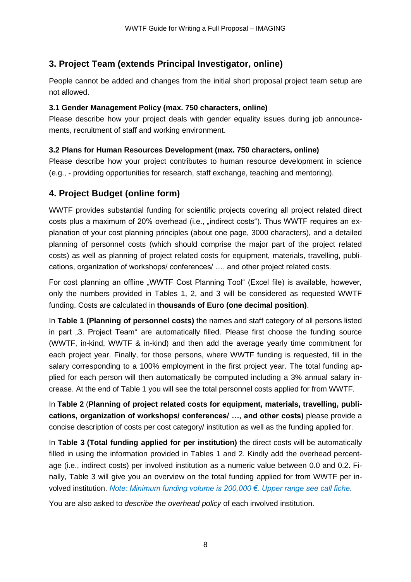## **3. Project Team (extends Principal Investigator, online)**

People cannot be added and changes from the initial short proposal project team setup are not allowed.

#### **3.1 Gender Management Policy (max. 750 characters, online)**

Please describe how your project deals with gender equality issues during job announcements, recruitment of staff and working environment.

## **3.2 Plans for Human Resources Development (max. 750 characters, online)**

Please describe how your project contributes to human resource development in science (e.g., - providing opportunities for research, staff exchange, teaching and mentoring).

## **4. Project Budget (online form)**

WWTF provides substantial funding for scientific projects covering all project related direct costs plus a maximum of 20% overhead (i.e., .indirect costs"). Thus WWTF requires an explanation of your cost planning principles (about one page, 3000 characters), and a detailed planning of personnel costs (which should comprise the major part of the project related costs) as well as planning of project related costs for equipment, materials, travelling, publications, organization of workshops/ conferences/ …, and other project related costs.

For cost planning an offline "WWTF Cost Planning Tool" (Excel file) is available, however, only the numbers provided in Tables 1, 2, and 3 will be considered as requested WWTF funding. Costs are calculated in **thousands of Euro (one decimal position)**.

In **Table 1 (Planning of personnel costs)** the names and staff category of all persons listed in part "3. Project Team" are automatically filled. Please first choose the funding source (WWTF, in-kind, WWTF & in-kind) and then add the average yearly time commitment for each project year. Finally, for those persons, where WWTF funding is requested, fill in the salary corresponding to a 100% employment in the first project year. The total funding applied for each person will then automatically be computed including a 3% annual salary increase. At the end of Table 1 you will see the total personnel costs applied for from WWTF.

In **Table 2** (**Planning of project related costs for equipment, materials, travelling, publications, organization of workshops/ conferences/ …, and other costs)** please provide a concise description of costs per cost category/ institution as well as the funding applied for.

In **Table 3 (Total funding applied for per institution)** the direct costs will be automatically filled in using the information provided in Tables 1 and 2. Kindly add the overhead percentage (i.e., indirect costs) per involved institution as a numeric value between 0.0 and 0.2. Finally, Table 3 will give you an overview on the total funding applied for from WWTF per involved institution. *Note: Minimum funding volume is 200,000 €. Upper range see call fiche.*

You are also asked to *describe the overhead policy* of each involved institution.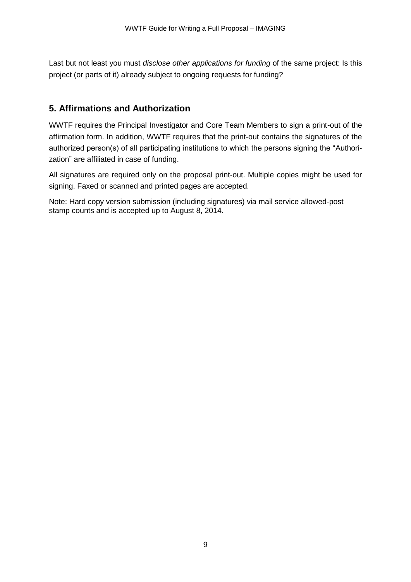Last but not least you must *disclose other applications for funding* of the same project: Is this project (or parts of it) already subject to ongoing requests for funding?

## **5. Affirmations and Authorization**

WWTF requires the Principal Investigator and Core Team Members to sign a print-out of the affirmation form. In addition, WWTF requires that the print-out contains the signatures of the authorized person(s) of all participating institutions to which the persons signing the "Authorization" are affiliated in case of funding.

All signatures are required only on the proposal print-out. Multiple copies might be used for signing. Faxed or scanned and printed pages are accepted.

Note: Hard copy version submission (including signatures) via mail service allowed-post stamp counts and is accepted up to August 8, 2014.